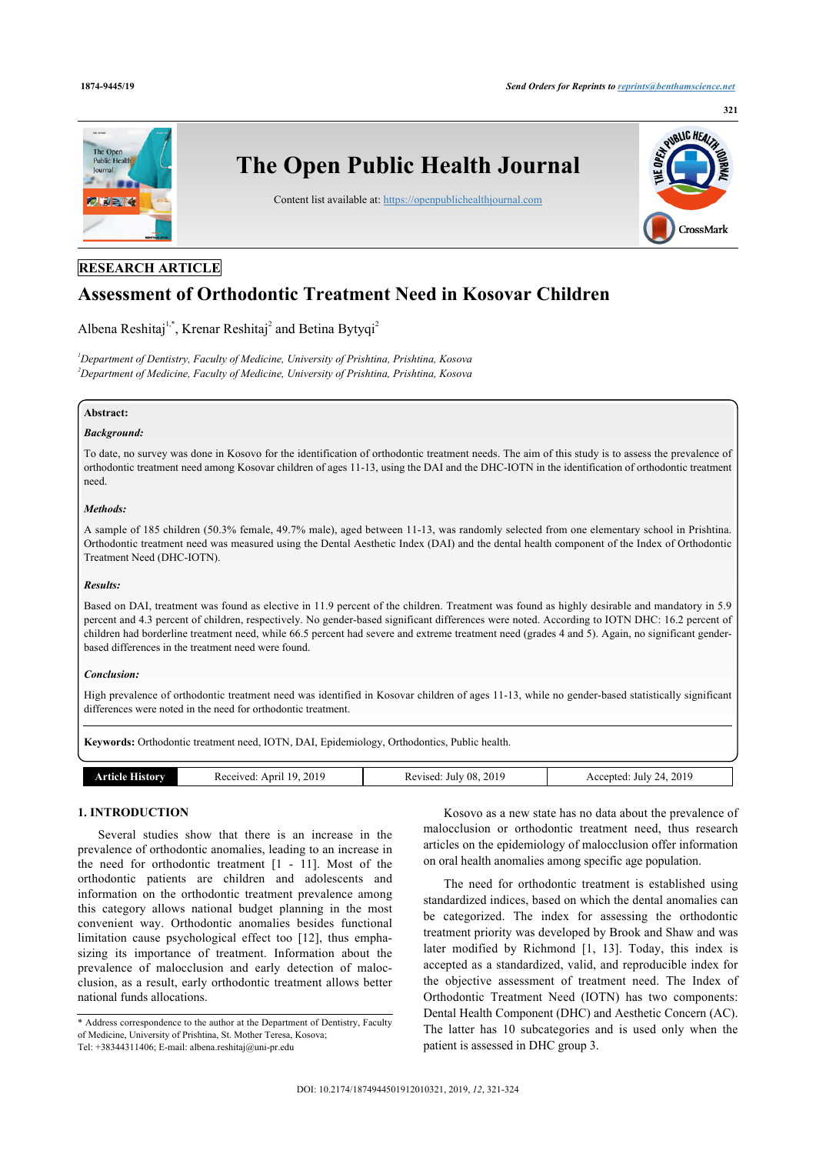

# **RESEARCH ARTICLE**

# **Assessment of Orthodontic Treatment Need in Kosovar Children**

Albena Reshitaj<sup>[1,](#page-0-0)[\\*](#page-0-1)</sup>, Krenar Reshitaj<sup>[2](#page-0-2)</sup> and Betina Bytyqi<sup>2</sup>

<span id="page-0-2"></span><span id="page-0-0"></span>*<sup>1</sup>Department of Dentistry, Faculty of Medicine, University of Prishtina, Prishtina, Kosova <sup>2</sup>Department of Medicine, Faculty of Medicine, University of Prishtina, Prishtina, Kosova*

# **Abstract:**

#### *Background:*

To date, no survey was done in Kosovo for the identification of orthodontic treatment needs. The aim of this study is to assess the prevalence of orthodontic treatment need among Kosovar children of ages 11-13, using the DAI and the DHC-IOTN in the identification of orthodontic treatment need.

#### *Methods:*

A sample of 185 children (50.3% female, 49.7% male), aged between 11-13, was randomly selected from one elementary school in Prishtina. Orthodontic treatment need was measured using the Dental Aesthetic Index (DAI) and the dental health component of the Index of Orthodontic Treatment Need (DHC-IOTN).

### *Results:*

Based on DAI, treatment was found as elective in 11.9 percent of the children. Treatment was found as highly desirable and mandatory in 5.9 percent and 4.3 percent of children, respectively. No gender-based significant differences were noted. According to IOTN DHC: 16.2 percent of children had borderline treatment need, while 66.5 percent had severe and extreme treatment need (grades 4 and 5). Again, no significant genderbased differences in the treatment need were found.

### *Conclusion:*

High prevalence of orthodontic treatment need was identified in Kosovar children of ages 11-13, while no gender-based statistically significant differences were noted in the need for orthodontic treatment.

**Keywords:** Orthodontic treatment need, IOTN, DAI, Epidemiology, Orthodontics, Public health.

| чπага.<br>fistory | 2019<br>10<br>Received:<br>Apri. | 2019<br>$^{\circ}08$<br><b>cevised</b><br>July<br>ĸc | 24, 2019<br>Accepted<br>July<br>$-111$ |
|-------------------|----------------------------------|------------------------------------------------------|----------------------------------------|

# **1. INTRODUCTION**

Several studies show that there is an increase in the prevalence of orthodontic anomalies, leading to an increase in the need for orthodontic treatment [\[1](#page-3-0) - [11](#page-3-1)]. Most of the orthodontic patients are children and adolescents and information on the orthodontic treatment prevalence among this category allows national budget planning in the most convenient way. Orthodontic anomalies besides functional limitation cause psychological effect too[[12\]](#page-3-2), thus emphasizing its importance of treatment. Information about the prevalence of malocclusion and early detection of malocclusion, as a result, early orthodontic treatment allows better national funds allocations.

Kosovo as a new state has no data about the prevalence of malocclusion or orthodontic treatment need, thus research articles on the epidemiology of malocclusion offer information on oral health anomalies among specific age population.

The need for orthodontic treatment is established using standardized indices, based on which the dental anomalies can be categorized. The index for assessing the orthodontic treatment priority was developed by Brook and Shaw and was later modified by Richmond[[1,](#page-3-0) [13\]](#page-3-3). Today, this index is accepted as a standardized, valid, and reproducible index for the objective assessment of treatment need. The Index of Orthodontic Treatment Need (IOTN) has two components: Dental Health Component (DHC) and Aesthetic Concern (AC). The latter has 10 subcategories and is used only when the patient is assessed in DHC group 3.

<span id="page-0-1"></span><sup>\*</sup> Address correspondence to the author at the Department of Dentistry, Faculty of Medicine, University of Prishtina, St. Mother Teresa, Kosova; Tel: +38344311406; E-mail: [albena.reshitaj@uni-pr.edu](mailto:albena.reshitaj@uni-pr.edu)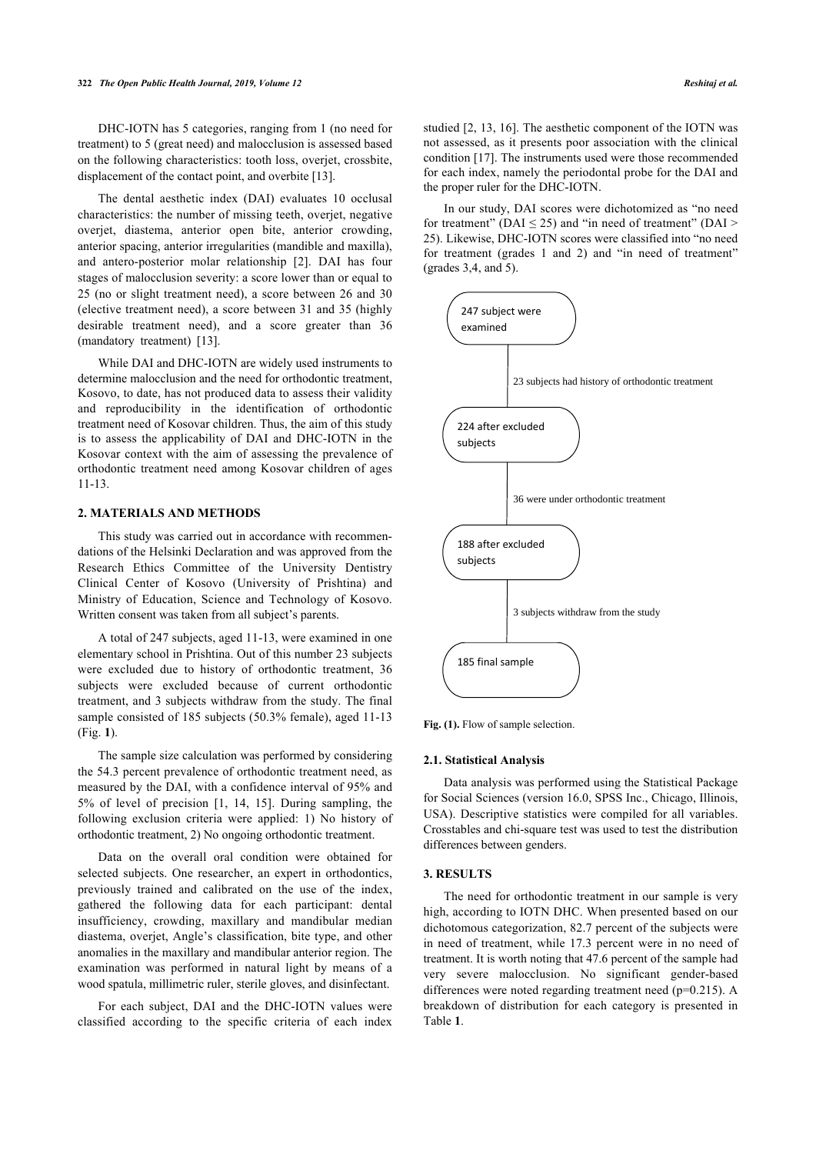DHC-IOTN has 5 categories, ranging from 1 (no need for treatment) to 5 (great need) and malocclusion is assessed based on the following characteristics: tooth loss, overjet, crossbite, displacement of the contact point, and overbite [[13\]](#page-3-3).

The dental aesthetic index (DAI) evaluates 10 occlusal characteristics: the number of missing teeth, overjet, negative overjet, diastema, anterior open bite, anterior crowding, anterior spacing, anterior irregularities (mandible and maxilla), and antero-posterior molar relationship [\[2\]](#page-3-4). DAI has four stages of malocclusion severity: a score lower than or equal to 25 (no or slight treatment need), a score between 26 and 30 (elective treatment need), a score between 31 and 35 (highly desirable treatment need), and a score greater than 36 (mandatory treatment)[[13\]](#page-3-3).

<span id="page-1-0"></span>While DAI and DHC-IOTN are widely used instruments to determine malocclusion and the need for orthodontic treatment, Kosovo, to date, has not produced data to assess their validity and reproducibility in the identification of orthodontic treatment need of Kosovar children. Thus, the aim of this study is to assess the applicability of DAI and DHC-IOTN in the Kosovar context with the aim of assessing the prevalence of orthodontic treatment need among Kosovar children of ages 11-13.

# **2. MATERIALS AND METHODS**

This study was carried out in accordance with recommendations of the Helsinki Declaration and was approved from the Research Ethics Committee of the University Dentistry Clinical Center of Kosovo (University of Prishtina) and Ministry of Education, Science and Technology of Kosovo. Written consent was taken from all subject's parents.

A total of 247 subjects, aged 11-13, were examined in one elementary school in Prishtina. Out of this number 23 subjects were excluded due to history of orthodontic treatment, 36 subjects were excluded because of current orthodontic treatment, and 3 subjects withdraw from the study. The final samp[le](#page-1-0) consisted of 185 subjects (50.3% female), aged 11-13 (Fig. **1**).

The sample size calculation was performed by considering the 54.3 percent prevalence of orthodontic treatment need, as measured by the DAI, with [a](#page-3-0) [con](#page-3-5)f[ide](#page-3-6)nce interval of 95% and 5% of level of precision [1, 14, 15]. During sampling, the following exclusion criteria were applied: 1) No history of orthodontic treatment, 2) No ongoing orthodontic treatment.

Data on the overall oral condition were obtained for selected subjects. One researcher, an expert in orthodontics, previously trained and calibrated on the use of the index, gathered the following data for each participant: dental insufficiency, crowding, maxillary and mandibular median diastema, overjet, Angle's classification, bite type, and other anomalies in the maxillary and mandibular anterior region. The examination was performed in natural light by means of a wood spatula, millimetric ruler, sterile gloves, and disinfectant.

<span id="page-1-1"></span>For each subject, DAI and the DHC-IOTN values were classified according to the specific criteria of each index studied [\[2,](#page-3-4) [13,](#page-3-3) [16\]](#page-3-7). The aesthetic component of the IOTN was not assessed, as it presents poor association with the clinical condition [[17\]](#page-3-0). The instruments used were those recommended for each index, namely the periodontal probe for the DAI and the proper ruler for the DHC-IOTN.

In our study, DAI scores were dichotomized as "no need for treatment" ( $DAI \leq 25$ ) and "in need of treatment" ( $DAI \geq 1$ 25). Likewise, DHC-IOTN scores were classified into "no need for treatment (grades 1 and 2) and "in need of treatment" (grades 3,4, and 5).



Fig. (1). Flow of sample selection.

#### **2.1. Statistical Analysis**

Data analysis was performed using the Statistical Package for Social Sciences (version 16.0, SPSS Inc., Chicago, Illinois, USA). Descriptive statistics were compiled for all variables. Crosstables and chi-square test was used to test the distribution differences between genders.

### **3. RESULTS**

The need for orthodontic treatment in our sample is very high, according to IOTN DHC. When presented based on our dichotomous categorization, 82.7 percent of the subjects were in need of treatment, while 17.3 percent were in no need of treatment. It is worth noting that 47.6 percent of the sample had very severe malocclusion. No significant gender-based differences were noted regarding treatment need (p=0.215). A breakdown of distribution for each category is presented in Table **[1](#page-1-1)**.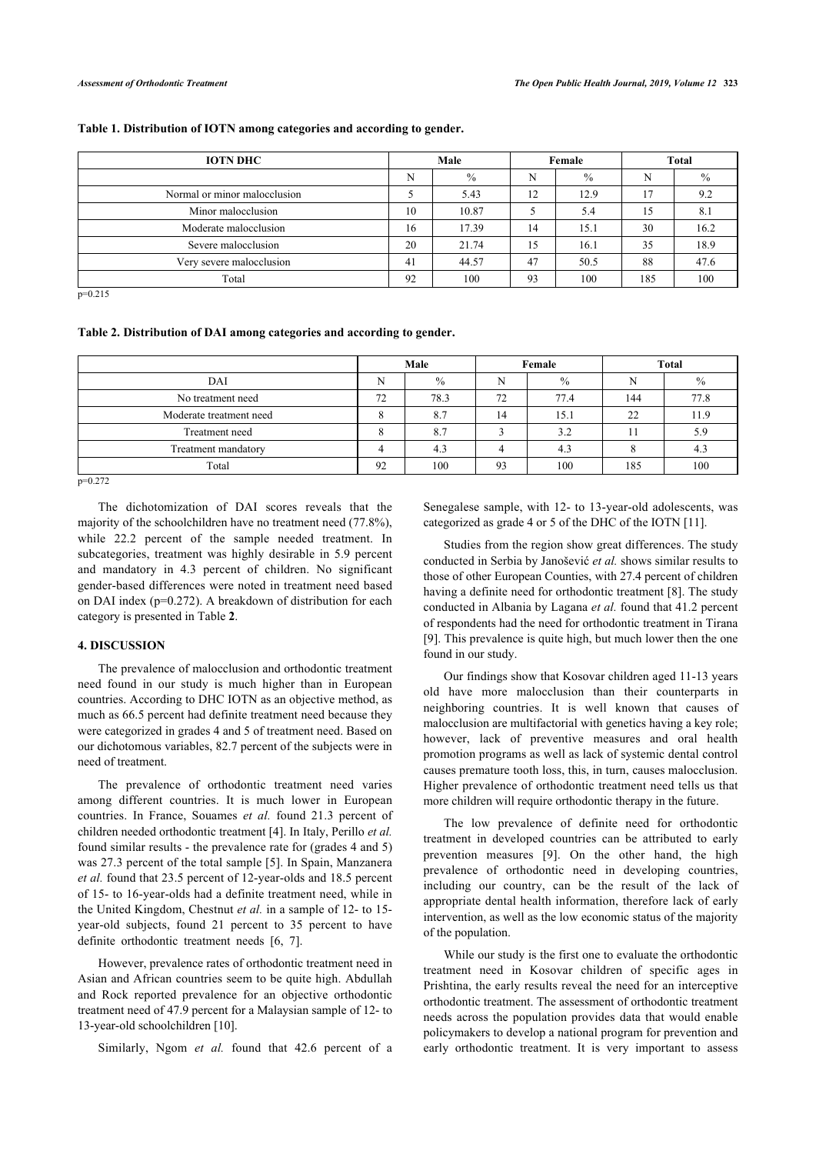# **Table 1. Distribution of IOTN among categories and according to gender.**

| <b>IOTN DHC</b>              | Male |               | Female |               | <b>Total</b> |      |
|------------------------------|------|---------------|--------|---------------|--------------|------|
|                              | N    | $\frac{0}{0}$ | N      | $\frac{0}{0}$ | N            | $\%$ |
| Normal or minor malocclusion |      | 5.43          | 12     | 12.9          |              | 9.2  |
| Minor malocclusion           | 10   | 10.87         |        | 5.4           | 15           | 8.1  |
| Moderate malocclusion        | 16   | 17.39         | 14     | 15.1          | 30           | 16.2 |
| Severe malocclusion          | 20   | 21.74         | 15     | 16.1          | 35           | 18.9 |
| Very severe malocclusion     | 41   | 44.57         | 47     | 50.5          | 88           | 47.6 |
| Total                        | 92   | 100           | 93     | 100           | 185          | 100  |

 $p=0.215$ 

#### <span id="page-2-0"></span>**Table 2. Distribution of DAI among categories and according to gender.**

|                         | Male |               | Female |               | <b>Total</b> |               |
|-------------------------|------|---------------|--------|---------------|--------------|---------------|
| DAI                     | N    | $\frac{0}{0}$ | N      | $\frac{0}{0}$ |              | $\frac{0}{0}$ |
| No treatment need       |      | 78.3          | 72     | 77.4          | 144          | 77.8          |
| Moderate treatment need |      | 8.7           | ι4     | 15.1          | 22           | 11.9          |
| Treatment need          |      | 8.7           |        | 3.2           |              | 5.9           |
| Treatment mandatory     |      | 4.3           |        | 4.3           |              | 4.3           |
| Total                   |      | 100           | 93     | 100           | 185          | 100           |

 $p=0.272$ 

The dichotomization of DAI scores reveals that the majority of the schoolchildren have no treatment need (77.8%), while 22.2 percent of the sample needed treatment. In subcategories, treatment was highly desirable in 5.9 percent and mandatory in 4.3 percent of children. No significant gender-based differences were noted in treatment need based on DAI index (p=0.272). A breakdown of distribution for each category is presented in Table **[2](#page-2-0)**.

# **4. DISCUSSION**

The prevalence of malocclusion and orthodontic treatment need found in our study is much higher than in European countries. According to DHC IOTN as an objective method, as much as 66.5 percent had definite treatment need because they were categorized in grades 4 and 5 of treatment need. Based on our dichotomous variables, 82.7 percent of the subjects were in need of treatment.

The prevalence of orthodontic treatment need varies among different countries. It is much lower in European countries. In France, Souames *et al.* found 21.3 percent of children needed orthodontic treatment [\[4\]](#page-3-8). In Italy, Perillo *et al.* found similar results - the prevalence rate for (grades 4 and 5) was 27.3 percent of the total sample [[5](#page-3-9)]. In Spain, Manzanera *et al.* found that 23.5 percent of 12-year-olds and 18.5 percent of 15- to 16-year-olds had a definite treatment need, while in the United Kingdom, Chestnut *et al.* in a sample of 12- to 15 year-old subjects, found 21 percent to 35 percent to have definite orthodontic treatment needs [\[6,](#page-3-10) [7\]](#page-3-11).

However, prevalence rates of orthodontic treatment need in Asian and African countries seem to be quite high. Abdullah and Rock reported prevalence for an objective orthodontic treatment need of 47.9 percent for a Malaysian sample of 12- to 13-year-old schoolchildren [\[10](#page-3-12)].

Similarly, Ngom *et al.* found that 42.6 percent of a

Senegalese sample, with 12- to 13-year-old adolescents, was categorized as grade 4 or 5 of the DHC of the IOTN [[11\]](#page-3-1).

Studies from the region show great differences. The study conducted in Serbia by Janošević *et al.* shows similar results to those of other European Counties, with 27.4 percent of children having a definite need for orthodontic treatment [[8\]](#page-3-13). The study conducted in Albania by Lagana *et al.* found that 41.2 percent of respondents had the need for orthodontic treatment in Tirana [[9\]](#page-3-14). This prevalence is quite high, but much lower then the one found in our study.

Our findings show that Kosovar children aged 11-13 years old have more malocclusion than their counterparts in neighboring countries. It is well known that causes of malocclusion are multifactorial with genetics having a key role; however, lack of preventive measures and oral health promotion programs as well as lack of systemic dental control causes premature tooth loss, this, in turn, causes malocclusion. Higher prevalence of orthodontic treatment need tells us that more children will require orthodontic therapy in the future.

The low prevalence of definite need for orthodontic treatment in developed countries can be attributed to early prevention measures [\[9\]](#page-3-14). On the other hand, the high prevalence of orthodontic need in developing countries, including our country, can be the result of the lack of appropriate dental health information, therefore lack of early intervention, as well as the low economic status of the majority of the population.

While our study is the first one to evaluate the orthodontic treatment need in Kosovar children of specific ages in Prishtina, the early results reveal the need for an interceptive orthodontic treatment. The assessment of orthodontic treatment needs across the population provides data that would enable policymakers to develop a national program for prevention and early orthodontic treatment. It is very important to assess